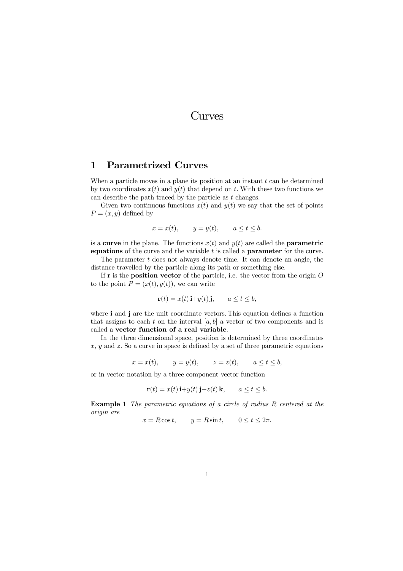## Curves

## 1 Parametrized Curves

When a particle moves in a plane its position at an instant  $t$  can be determined by two coordinates  $x(t)$  and  $y(t)$  that depend on t. With these two functions we can describe the path traced by the particle as t changes.

Given two continuous functions  $x(t)$  and  $y(t)$  we say that the set of points  $P=(x, y)$  defined by

$$
x = x(t), \qquad y = y(t), \qquad a \le t \le b.
$$

is a **curve** in the plane. The functions  $x(t)$  and  $y(t)$  are called the **parametric** equations of the curve and the variable  $t$  is called a **parameter** for the curve.

The parameter  $t$  does not always denote time. It can denote an angle, the distance travelled by the particle along its path or something else.

If  $\bf{r}$  is the **position vector** of the particle, i.e. the vector from the origin  $\bf{O}$ to the point  $P = (x(t), y(t))$ , we can write

$$
\mathbf{r}(t) = x(t)\,\mathbf{i} + y(t)\,\mathbf{j}, \qquad a \le t \le b,
$$

where **i** and **j** are the unit coordinate vectors. This equation defines a function that assigns to each t on the interval  $[a, b]$  a vector of two components and is called a vector function of a real variable.

In the three dimensional space, position is determined by three coordinates  $x, y$  and z. So a curve in space is defined by a set of three parametric equations

$$
x = x(t), \qquad y = y(t), \qquad z = z(t), \qquad a \le t \le b,
$$

or in vector notation by a three component vector function

$$
\mathbf{r}(t) = x(t)\,\mathbf{i} + y(t)\,\mathbf{j} + z(t)\,\mathbf{k}, \qquad a \le t \le b.
$$

Example 1 The parametric equations of a circle of radius R centered at the origin are

 $x = R \cos t$ ,  $y = R \sin t$ ,  $0 \le t \le 2\pi$ .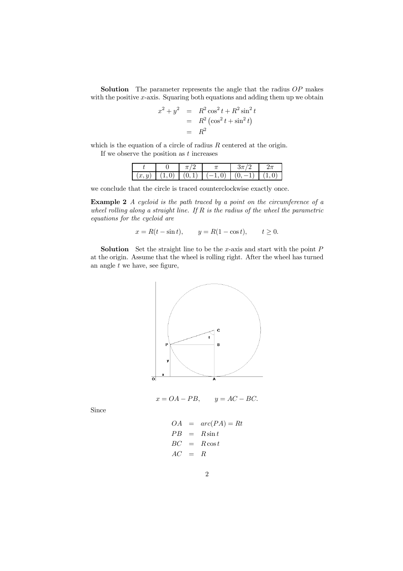**Solution** The parameter represents the angle that the radius  $OP$  makes with the positive  $x$ -axis. Squaring both equations and adding them up we obtain

$$
x2 + y2 = R2 cos2 t + R2 sin2 t
$$
  
= R<sup>2</sup> (cos<sup>2</sup> t + sin<sup>2</sup> t)  
= R<sup>2</sup>

which is the equation of a circle of radius  $R$  centered at the origin. If we observe the position as  $t$  increases

| w |  |  |  |
|---|--|--|--|

we conclude that the circle is traced counterclockwise exactly once.

Example 2 A cycloid is the path traced by a point on the circumference of a wheel rolling along a straight line. If  $R$  is the radius of the wheel the parametric equations for the cycloid are

$$
x = R(t - \sin t),
$$
  $y = R(1 - \cos t),$   $t \ge 0.$ 

**Solution** Set the straight line to be the x-axis and start with the point  $P$ at the origin. Assume that the wheel is rolling right. After the wheel has turned an angle  $t$  we have, see figure,



$$
x = OA - PB, \qquad y = AC - BC.
$$

Since

$$
OA = arc(PA) = Rt
$$
  
\n
$$
PB = R\sin t
$$
  
\n
$$
BC = R\cos t
$$
  
\n
$$
AC = R
$$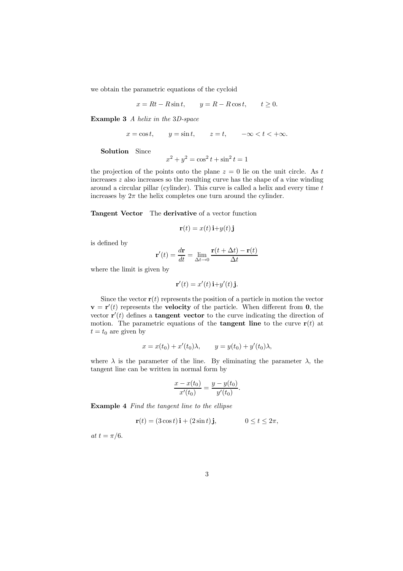we obtain the parametric equations of the cycloid

$$
x = Rt - R\sin t, \qquad y = R - R\cos t, \qquad t \ge 0.
$$

Example 3 A helix in the 3D-space

$$
x = \cos t, \qquad y = \sin t, \qquad z = t, \qquad -\infty < t < +\infty.
$$

Solution Since

$$
x^2 + y^2 = \cos^2 t + \sin^2 t = 1
$$

the projection of the points onto the plane  $z = 0$  lie on the unit circle. As t increases z also increases so the resulting curve has the shape of a vine winding around a circular pillar (cylinder). This curve is called a helix and every time  $t$ increases by  $2\pi$  the helix completes one turn around the cylinder.

## Tangent Vector The derivative of a vector function

$$
\mathbf{r}(t) = x(t)\,\mathbf{i} + y(t)\,\mathbf{j}
$$

is defined by

$$
\mathbf{r}'(t) = \frac{d\mathbf{r}}{dt} = \lim_{\Delta t \to 0} \frac{\mathbf{r}(t + \Delta t) - \mathbf{r}(t)}{\Delta t}
$$

where the limit is given by

$$
\mathbf{r}'(t) = x'(t)\,\mathbf{i} + y'(t)\,\mathbf{j}.
$$

Since the vector  $\mathbf{r}(t)$  represents the position of a particle in motion the vector  $\mathbf{v} = \mathbf{r}'(t)$  represents the **velocity** of the particle. When different from **0**, the vector  $\mathbf{r}'(t)$  defines a **tangent vector** to the curve indicating the direction of motion. The parametric equations of the **tangent line** to the curve  $\mathbf{r}(t)$  at  $t = t_0$  are given by

$$
x = x(t_0) + x'(t_0)\lambda,
$$
  $y = y(t_0) + y'(t_0)\lambda,$ 

where  $\lambda$  is the parameter of the line. By eliminating the parameter  $\lambda$ , the tangent line can be written in normal form by

$$
\frac{x - x(t_0)}{x'(t_0)} = \frac{y - y(t_0)}{y'(t_0)}.
$$

Example 4 Find the tangent line to the ellipse

$$
\mathbf{r}(t) = (3\cos t)\,\mathbf{i} + (2\sin t)\,\mathbf{j}, \qquad 0 \le t \le 2\pi,
$$

at  $t = \pi/6$ .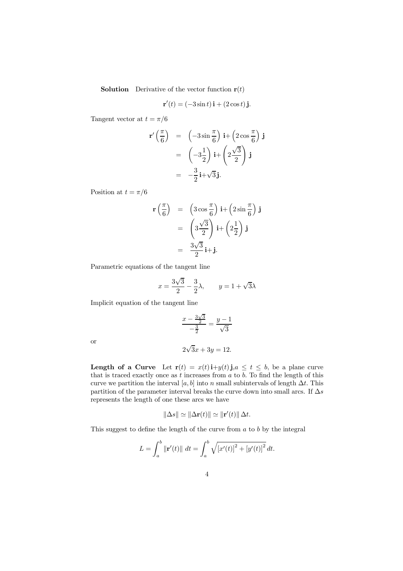**Solution** Derivative of the vector function  $\mathbf{r}(t)$ 

$$
\mathbf{r}'(t) = (-3\sin t)\,\mathbf{i} + (2\cos t)\,\mathbf{j}.
$$

Tangent vector at  $t = \pi/6$ 

$$
\mathbf{r}'\left(\frac{\pi}{6}\right) = \left(-3\sin\frac{\pi}{6}\right)\mathbf{i} + \left(2\cos\frac{\pi}{6}\right)\mathbf{j}
$$

$$
= \left(-3\frac{1}{2}\right)\mathbf{i} + \left(2\frac{\sqrt{3}}{2}\right)\mathbf{j}
$$

$$
= -\frac{3}{2}\mathbf{i} + \sqrt{3}\mathbf{j}.
$$

Position at  $t = \pi/6$ 

$$
\mathbf{r}\left(\frac{\pi}{6}\right) = \left(3\cos\frac{\pi}{6}\right)\mathbf{i} + \left(2\sin\frac{\pi}{6}\right)\mathbf{j}
$$

$$
= \left(3\frac{\sqrt{3}}{2}\right)\mathbf{i} + \left(2\frac{1}{2}\right)\mathbf{j}
$$

$$
= \frac{3\sqrt{3}}{2}\mathbf{i} + \mathbf{j}.
$$

Parametric equations of the tangent line

$$
x = \frac{3\sqrt{3}}{2} - \frac{3}{2}\lambda, \qquad y = 1 + \sqrt{3}\lambda
$$

Implicit equation of the tangent line

$$
\frac{x - \frac{3\sqrt{3}}{2}}{-\frac{3}{2}} = \frac{y - 1}{\sqrt{3}}
$$

or

$$
2\sqrt{3}x + 3y = 12.
$$

**Length of a Curve** Let  $\mathbf{r}(t) = x(t)\mathbf{i}+y(t)\mathbf{j}$ ,  $a \leq t \leq b$ , be a plane curve that is traced exactly once as  $t$  increases from  $a$  to  $b$ . To find the length of this curve we partition the interval [a, b] into n small subintervals of length  $\Delta t$ . This partition of the parameter interval breaks the curve down into small arcs. If  $\Delta s$ represents the length of one these arcs we have

$$
\|\Delta s\| \simeq \|\Delta \mathbf{r}(t)\| \simeq \|\mathbf{r}'(t)\| \Delta t.
$$

This suggest to define the length of the curve from  $a$  to  $b$  by the integral

$$
L = \int_a^b \|\mathbf{r}'(t)\| \, dt = \int_a^b \sqrt{[x'(t)]^2 + [y'(t)]^2} \, dt.
$$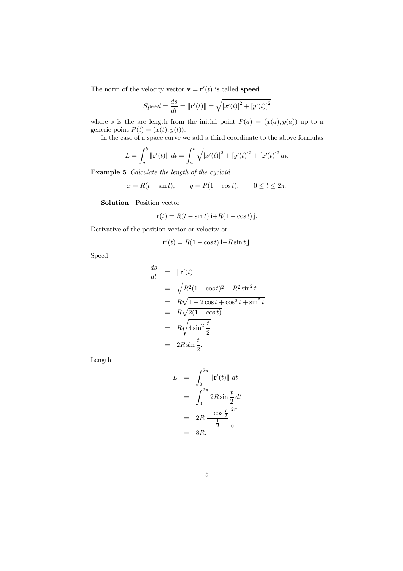The norm of the velocity vector  $\mathbf{v} = \mathbf{r}'(t)$  is called speed

$$
Speed = \frac{ds}{dt} = ||\mathbf{r}'(t)|| = \sqrt{[x'(t)]^2 + [y'(t)]^2}
$$

where s is the arc length from the initial point  $P(a)=(x(a), y(a))$  up to a generic point  $P(t)=(x(t), y(t)).$ 

In the case of a space curve we add a third coordinate to the above formulas

$$
L = \int_{a}^{b} \|\mathbf{r}'(t)\| dt = \int_{a}^{b} \sqrt{[x'(t)]^{2} + [y'(t)]^{2} + [z'(t)]^{2}} dt.
$$

Example 5 Calculate the length of the cycloid

$$
x = R(t - \sin t),
$$
  $y = R(1 - \cos t),$   $0 \le t \le 2\pi.$ 

Solution Position vector

$$
\mathbf{r}(t) = R(t - \sin t)\,\mathbf{i} + R(1 - \cos t)\,\mathbf{j}.
$$

Derivative of the position vector or velocity or

$$
\mathbf{r}'(t) = R(1 - \cos t)\,\mathbf{i} + R\sin t\,\mathbf{j}.
$$

Speed

$$
\frac{ds}{dt} = \|\mathbf{r}'(t)\|
$$
\n
$$
= \sqrt{R^2(1 - \cos t)^2 + R^2 \sin^2 t}
$$
\n
$$
= R\sqrt{1 - 2\cos t + \cos^2 t + \sin^2 t}
$$
\n
$$
= R\sqrt{2(1 - \cos t)}
$$
\n
$$
= R\sqrt{4\sin^2 \frac{t}{2}}
$$
\n
$$
= 2R\sin\frac{t}{2}.
$$

Length

$$
L = \int_0^{2\pi} \|\mathbf{r}'(t)\| dt
$$
  
= 
$$
\int_0^{2\pi} 2R \sin{\frac{t}{2}} dt
$$
  
= 
$$
2R \frac{-\cos{\frac{t}{2}}}{\frac{1}{2}} \Big|_0^{2\pi}
$$
  
= 8R.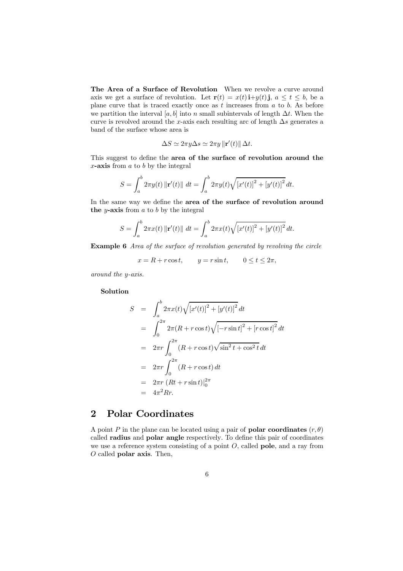The Area of a Surface of Revolution When we revolve a curve around axis we get a surface of revolution. Let  $\mathbf{r}(t) = x(t) \mathbf{i} + y(t) \mathbf{j}$ ,  $a \le t \le b$ , be a plane curve that is traced exactly once as  $t$  increases from  $a$  to  $b$ . As before we partition the interval [a, b] into n small subintervals of length  $\Delta t$ . When the curve is revolved around the x-axis each resulting arc of length  $\Delta s$  generates a band of the surface whose area is

$$
\Delta S \simeq 2\pi y \Delta s \simeq 2\pi y \, ||\mathbf{r}'(t)|| \, \Delta t
$$

This suggest to define the area of the surface of revolution around the  $x$ -axis from  $a$  to  $b$  by the integral

$$
S = \int_{a}^{b} 2\pi y(t) \left\| \mathbf{r}'(t) \right\| \, dt = \int_{a}^{b} 2\pi y(t) \sqrt{\left[x'(t)\right]^2 + \left[y'(t)\right]^2} \, dt.
$$

In the same way we define the area of the surface of revolution around the  $y$ -axis from  $a$  to  $b$  by the integral

$$
S = \int_{a}^{b} 2\pi x(t) \left\| \mathbf{r}'(t) \right\| \, dt = \int_{a}^{b} 2\pi x(t) \sqrt{\left[x'(t)\right]^2 + \left[y'(t)\right]^2} \, dt.
$$

Example 6 Area of the surface of revolution generated by revolving the circle

 $x = R + r \cos t$ ,  $y = r \sin t$ ,  $0 \le t \le 2\pi$ ,

around the y-axis.

Solution

$$
S = \int_{a}^{b} 2\pi x(t) \sqrt{[x'(t)]^{2} + [y'(t)]^{2}} dt
$$
  
\n
$$
= \int_{0}^{2\pi} 2\pi (R + r \cos t) \sqrt{[-r \sin t]^{2} + [r \cos t]^{2}} dt
$$
  
\n
$$
= 2\pi r \int_{0}^{2\pi} (R + r \cos t) \sqrt{\sin^{2} t + \cos^{2} t} dt
$$
  
\n
$$
= 2\pi r \int_{0}^{2\pi} (R + r \cos t) dt
$$
  
\n
$$
= 2\pi r (Rt + r \sin t)|_{0}^{2\pi}
$$
  
\n
$$
= 4\pi^{2} Rr.
$$

## 2 Polar Coordinates

A point P in the plane can be located using a pair of **polar coordinates**  $(r, \theta)$ called radius and polar angle respectively. To define this pair of coordinates we use a reference system consisting of a point  $O$ , called **pole**, and a ray from  $O$  called **polar axis**. Then,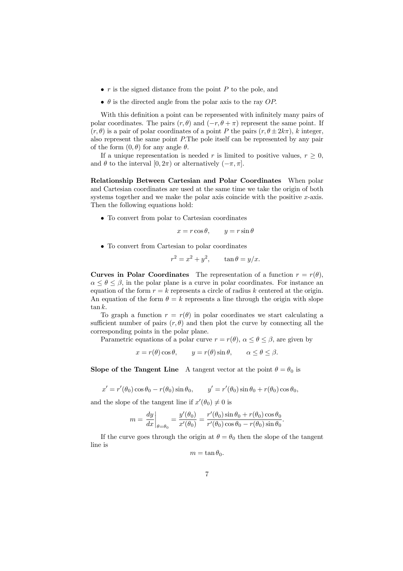- $r$  is the signed distance from the point  $P$  to the pole, and
- $\bullet$   $\theta$  is the directed angle from the polar axis to the ray OP.

With this definition a point can be represented with infinitely many pairs of polar coordinates. The pairs  $(r, \theta)$  and  $(-r, \theta + \pi)$  represent the same point. If  $(r, \theta)$  is a pair of polar coordinates of a point P the pairs  $(r, \theta \pm 2k\pi)$ , k integer, also represent the same point P.The pole itself can be represented by any pair of the form  $(0, \theta)$  for any angle  $\theta$ .

If a unique representation is needed r is limited to positive values,  $r \geq 0$ , and  $\theta$  to the interval  $[0, 2\pi)$  or alternatively  $(-\pi, \pi]$ .

Relationship Between Cartesian and Polar Coordinates When polar and Cartesian coordinates are used at the same time we take the origin of both systems together and we make the polar axis coincide with the positive  $x$ -axis. Then the following equations hold:

• To convert from polar to Cartesian coordinates

$$
x = r\cos\theta, \qquad y = r\sin\theta
$$

• To convert from Cartesian to polar coordinates

$$
r^2 = x^2 + y^2, \qquad \tan \theta = y/x.
$$

**Curves in Polar Coordinates** The representation of a function  $r = r(\theta)$ ,  $\alpha \leq \theta \leq \beta$ , in the polar plane is a curve in polar coordinates. For instance an equation of the form  $r = k$  represents a circle of radius k centered at the origin. An equation of the form  $\theta = k$  represents a line through the origin with slope  $\tan k.$ 

To graph a function  $r = r(\theta)$  in polar coordinates we start calculating a sufficient number of pairs  $(r, \theta)$  and then plot the curve by connecting all the corresponding points in the polar plane.

Parametric equations of a polar curve  $r = r(\theta)$ ,  $\alpha \leq \theta \leq \beta$ , are given by

$$
x = r(\theta) \cos \theta
$$
,  $y = r(\theta) \sin \theta$ ,  $\alpha \le \theta \le \beta$ .

Slope of the Tangent Line A tangent vector at the point  $\theta = \theta_0$  is

$$
x' = r'(\theta_0) \cos \theta_0 - r(\theta_0) \sin \theta_0, \qquad y' = r'(\theta_0) \sin \theta_0 + r(\theta_0) \cos \theta_0,
$$

and the slope of the tangent line if  $x'(\theta_0) \neq 0$  is

$$
m = \frac{dy}{dx}\bigg|_{\theta=\theta_0} = \frac{y'(\theta_0)}{x'(\theta_0)} = \frac{r'(\theta_0)\sin\theta_0 + r(\theta_0)\cos\theta_0}{r'(\theta_0)\cos\theta_0 - r(\theta_0)\sin\theta_0}.
$$

If the curve goes through the origin at  $\theta = \theta_0$  then the slope of the tangent line is

$$
m=\tan\theta_0.
$$